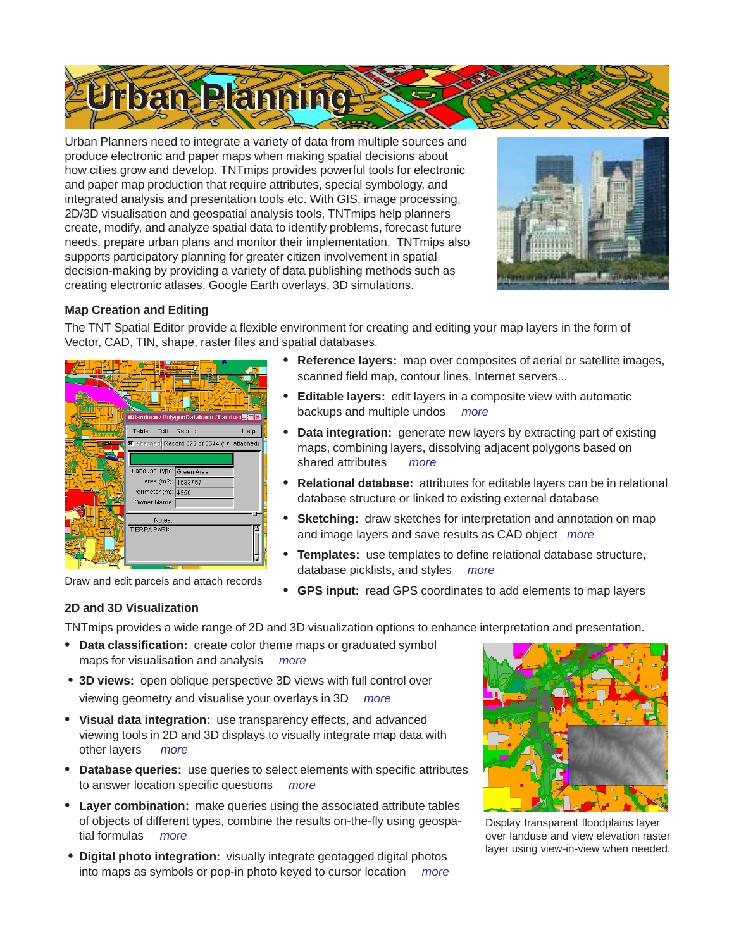

Urban Planners need to integrate a variety of data from multiple sources and produce electronic and paper maps when making spatial decisions about how cities grow and develop. TNTmips provides powerful tools for electronic and paper map production that require attributes, special symbology, and integrated analysis and presentation tools etc. With GIS, image processing, 2D/3D visualisation and geospatial analysis tools, TNTmips help planners create, modify, and analyze spatial data to identify problems, forecast future needs, prepare urban plans and monitor their implementation. TNTmips also supports participatory planning for greater citizen involvement in spatial decision-making by providing a variety of data publishing methods such as creating electronic atlases, Google Earth overlays, 3D simulations.



# **Map Creation and Editing**

The TNT Spatial Editor provide a flexible environment for creating and editing your map layers in the form of Vector, CAD, TIN, shape, raster files and spatial databases.

|   |                     |             | ß.<br><b>■landuse / PolygonDatabase / Landuse 画图</b> |      |
|---|---------------------|-------------|------------------------------------------------------|------|
|   | Table               | Edit        | Record                                               | Help |
| œ |                     |             | ■ Attached Record 372 of 3544 (1/1 attached)         |      |
|   |                     |             |                                                      |      |
|   |                     |             | Landuse Type: Green Area                             |      |
|   |                     |             | Area (m2): 4533767                                   |      |
|   | Perimeter (m): 4950 |             |                                                      |      |
|   |                     | Owner Name: |                                                      |      |
|   |                     | Notes:      |                                                      |      |
|   | <b>TIERRA PARK</b>  |             |                                                      |      |
|   |                     |             |                                                      |      |
|   |                     |             |                                                      |      |

- **• Reference layers:** map over composites of aerial or satellite images, scanned field map, contour lines, Internet servers...
- **• Editable layers:** edit layers in a composite view with automatic backups and multiple undos *more*
- **• Data integration:** generate new layers by extracting part of existing maps, combining layers, dissolving adjacent polygons based on shared attributes *more*
- **• Relational database:** attributes for editable layers can be in relational database structure or linked to existing external database
- **• Sketching:** draw sketches for interpretation and annotation on map and image layers and save results as CAD object *more*
- **• Templates:** use templates to define relational database structure, database picklists, and styles *more*
- **Praw and edit parcels and attach records**<br> **•** GPS input: read GPS coordinates to add elements to map layers

# **2D and 3D Visualization**

TNTmips provides a wide range of 2D and 3D visualization options to enhance interpretation and presentation.

- **• Data classification:** create color theme maps or graduated symbol maps for visualisation and analysis *more*
- **• 3D views:** open oblique perspective 3D views with full control over viewing geometry and visualise your overlays in 3D *more*
- **• Visual data integration:** use transparency effects, and advanced viewing tools in 2D and 3D displays to visually integrate map data with other layers *more*
- **• Database queries:** use queries to select elements with specific attributes to answer location specific questions *more*
- **• Layer combination:** make queries using the associated attribute tables of objects of different types, combine the results on-the-fly using geospatial formulas *more*
- **• Digital photo integration:** visually integrate geotagged digital photos into maps as symbols or pop-in photo keyed to cursor location *more*



Display transparent floodplains layer over landuse and view elevation raster layer using view-in-view when needed.